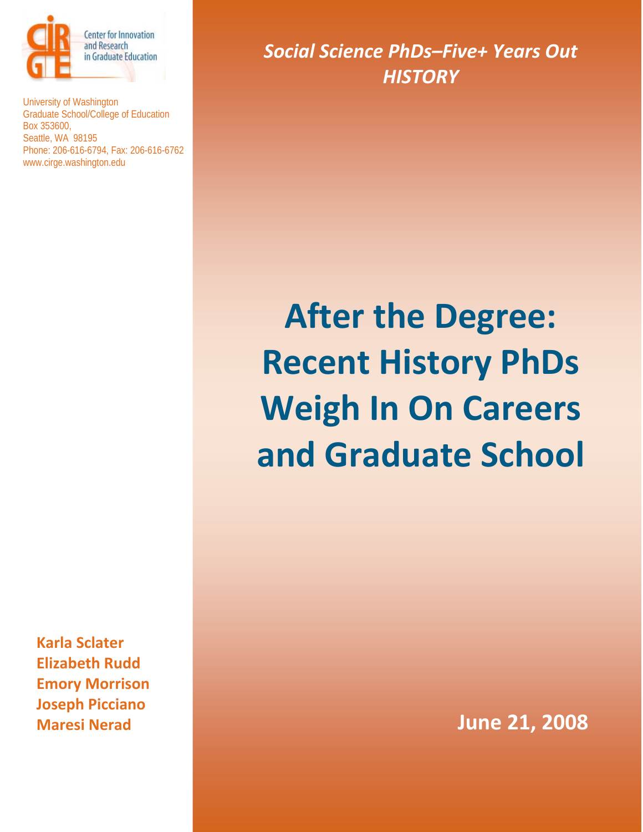

University of Washington Graduate School/College of Education Box 353600, Seattle, WA 98195 Phone: 206-616-6794, Fax: 206-616-6762 www.cirge.washington.edu

**Karla Sclater Elizabeth Rudd Emory Morrison Joseph Picciano Maresi Nerad**

*Social Science PhDs–Five+ Years Out HISTORY*

# **After the Degree: Recent History PhDs Weigh In On Careers and Graduate School**

**June 21, 2008**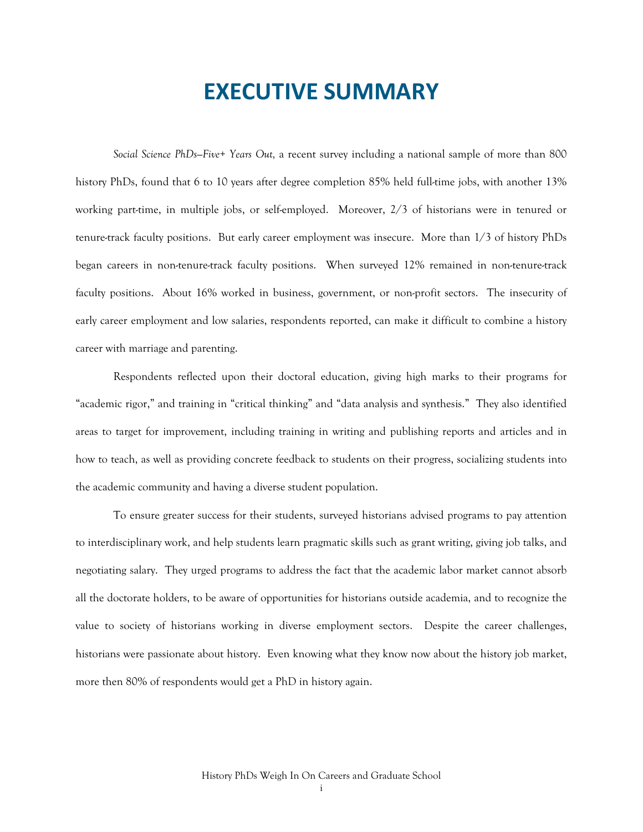# **EXECUTIVE SUMMARY**

*Social Science PhDs—Five+ Years Out,* a recent survey including a national sample of more than 800 history PhDs, found that 6 to 10 years after degree completion 85% held full-time jobs, with another 13% working part-time, in multiple jobs, or self-employed. Moreover, 2/3 of historians were in tenured or tenure-track faculty positions. But early career employment was insecure. More than 1/3 of history PhDs began careers in non-tenure-track faculty positions. When surveyed 12% remained in non-tenure-track faculty positions. About 16% worked in business, government, or non-profit sectors. The insecurity of early career employment and low salaries, respondents reported, can make it difficult to combine a history career with marriage and parenting.

Respondents reflected upon their doctoral education, giving high marks to their programs for "academic rigor," and training in "critical thinking" and "data analysis and synthesis." They also identified areas to target for improvement, including training in writing and publishing reports and articles and in how to teach, as well as providing concrete feedback to students on their progress, socializing students into the academic community and having a diverse student population.

To ensure greater success for their students, surveyed historians advised programs to pay attention to interdisciplinary work, and help students learn pragmatic skills such as grant writing, giving job talks, and negotiating salary. They urged programs to address the fact that the academic labor market cannot absorb all the doctorate holders, to be aware of opportunities for historians outside academia, and to recognize the value to society of historians working in diverse employment sectors. Despite the career challenges, historians were passionate about history. Even knowing what they know now about the history job market, more then 80% of respondents would get a PhD in history again.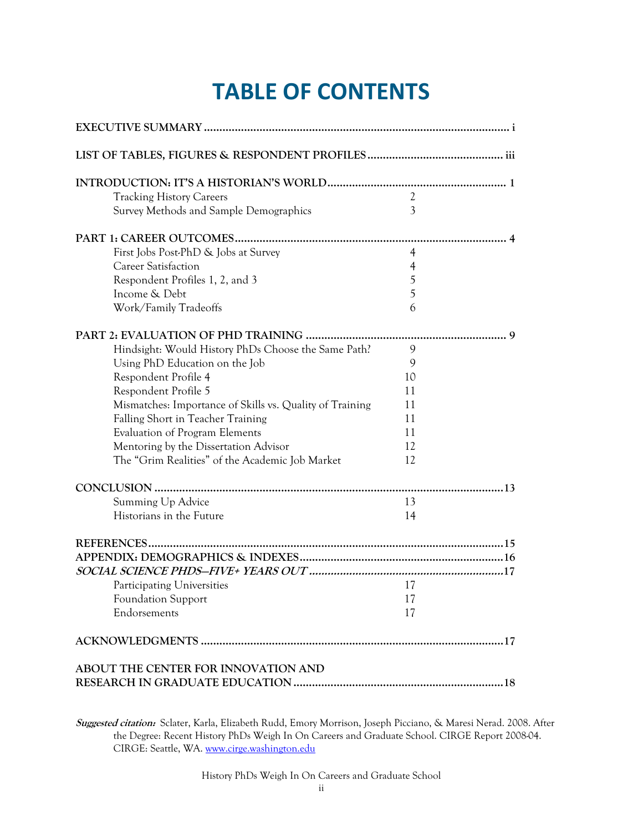# **TABLE OF CONTENTS**

| <b>Tracking History Careers</b>                          | $\overline{2}$ |  |
|----------------------------------------------------------|----------------|--|
| Survey Methods and Sample Demographics                   | 3              |  |
|                                                          |                |  |
| First Jobs Post-PhD & Jobs at Survey                     | 4              |  |
| <b>Career Satisfaction</b>                               | $\overline{4}$ |  |
| Respondent Profiles 1, 2, and 3                          | 5              |  |
| Income & Debt                                            | 5              |  |
| Work/Family Tradeoffs                                    | 6              |  |
|                                                          |                |  |
| Hindsight: Would History PhDs Choose the Same Path?      | 9              |  |
| Using PhD Education on the Job                           | 9              |  |
| Respondent Profile 4                                     | 10             |  |
| Respondent Profile 5                                     | 11             |  |
| Mismatches: Importance of Skills vs. Quality of Training | 11             |  |
| Falling Short in Teacher Training                        | 11             |  |
| Evaluation of Program Elements                           | 11             |  |
| Mentoring by the Dissertation Advisor                    | 12             |  |
| The "Grim Realities" of the Academic Job Market          | 12             |  |
|                                                          |                |  |
| Summing Up Advice                                        | 13             |  |
| Historians in the Future                                 | 14             |  |
|                                                          |                |  |
|                                                          |                |  |
|                                                          |                |  |
| Participating Universities                               | 17             |  |
| <b>Foundation Support</b>                                | 17             |  |
| Endorsements                                             | 17             |  |
|                                                          |                |  |
| ABOUT THE CENTER FOR INNOVATION AND                      |                |  |

**Suggested citation:** Sclater, Karla, Elizabeth Rudd, Emory Morrison, Joseph Picciano, & Maresi Nerad. 2008. After the Degree: Recent History PhDs Weigh In On Careers and Graduate School. CIRGE Report 2008-04. CIRGE: Seattle, WA. [www.cirge.washington.edu](http://www.cirge.washington.edu/)

History PhDs Weigh In On Careers and Graduate School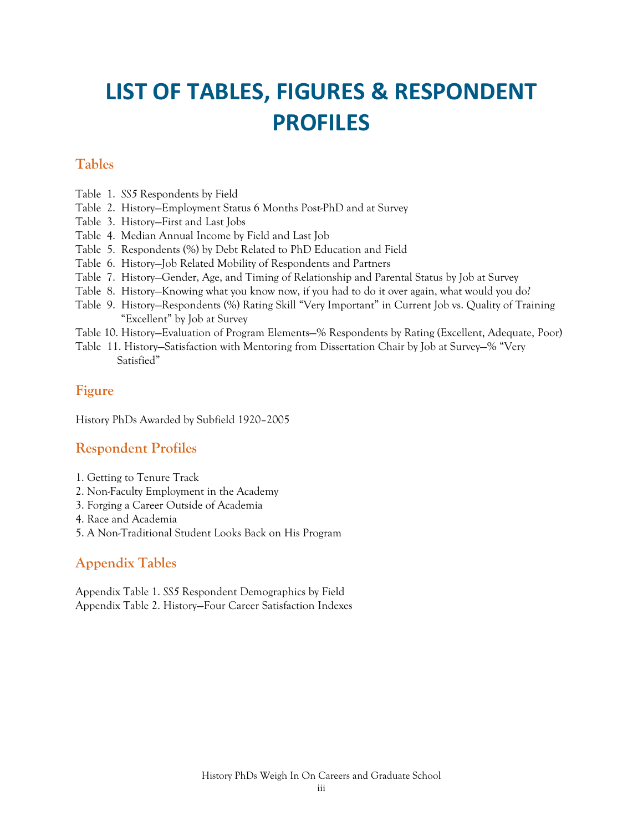# **LIST OF TABLES, FIGURES & RESPONDENT PROFILES**

### **Tables**

- Table 1. *SS5* Respondents by Field
- Table 2. History—Employment Status 6 Months Post-PhD and at Survey
- Table 3. History—First and Last Jobs
- Table 4. Median Annual Income by Field and Last Job
- Table 5. Respondents (%) by Debt Related to PhD Education and Field
- Table 6. History—Job Related Mobility of Respondents and Partners
- Table 7. History—Gender, Age, and Timing of Relationship and Parental Status by Job at Survey
- Table 8. History—Knowing what you know now, if you had to do it over again, what would you do?
- Table 9. History—Respondents (%) Rating Skill "Very Important" in Current Job vs. Quality of Training "Excellent" by Job at Survey
- Table 10. History—Evaluation of Program Elements—% Respondents by Rating (Excellent, Adequate, Poor)
- Table 11. History—Satisfaction with Mentoring from Dissertation Chair by Job at Survey—% "Very Satisfied"

### **Figure**

History PhDs Awarded by Subfield 1920–2005

# **Respondent Profiles**

- 1. Getting to Tenure Track
- 2. Non-Faculty Employment in the Academy
- 3. Forging a Career Outside of Academia
- 4. Race and Academia
- 5. A Non-Traditional Student Looks Back on His Program

# **Appendix Tables**

Appendix Table 1. *SS5* Respondent Demographics by Field Appendix Table 2. History—Four Career Satisfaction Indexes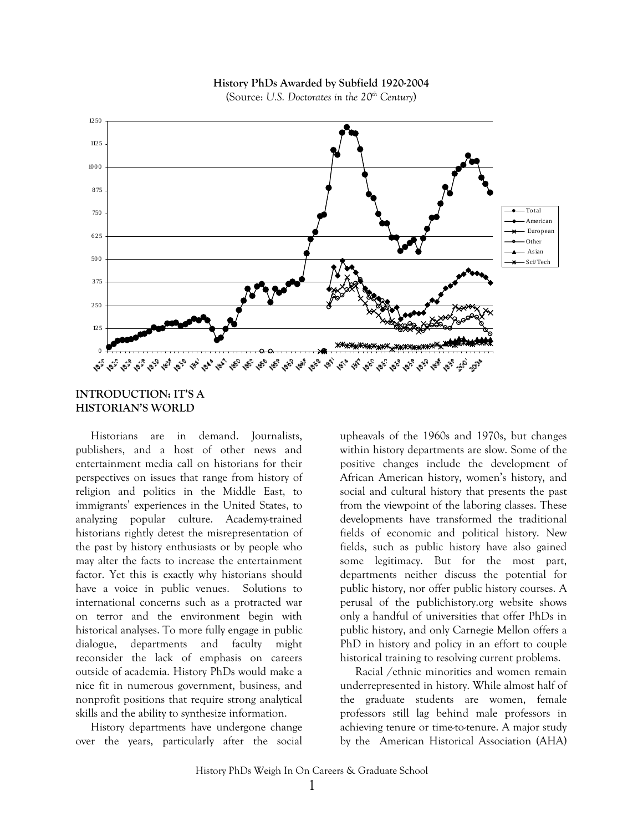

#### **History PhDs Awarded by Subfield 1920-2004**

(Source: *U.S. Doctorates in the 20th Century*)

#### **INTRODUCTION: IT'S A HISTORIAN'S WORLD**

Historians are in demand. Journalists, publishers, and a host of other news and entertainment media call on historians for their perspectives on issues that range from history of religion and politics in the Middle East, to immigrants' experiences in the United States, to analyzing popular culture. Academy-trained historians rightly detest the misrepresentation of the past by history enthusiasts or by people who may alter the facts to increase the entertainment factor. Yet this is exactly why historians should have a voice in public venues. Solutions to international concerns such as a protracted war on terror and the environment begin with historical analyses. To more fully engage in public dialogue, departments and faculty might reconsider the lack of emphasis on careers outside of academia. History PhDs would make a nice fit in numerous government, business, and nonprofit positions that require strong analytical skills and the ability to synthesize information.

History departments have undergone change over the years, particularly after the social

upheavals of the 1960s and 1970s, but changes within history departments are slow. Some of the positive changes include the development of African American history, women's history, and social and cultural history that presents the past from the viewpoint of the laboring classes. These developments have transformed the traditional fields of economic and political history. New fields, such as public history have also gained some legitimacy. But for the most part, departments neither discuss the potential for public history, nor offer public history courses. A perusal of the publichistory.org website shows only a handful of universities that offer PhDs in public history, and only Carnegie Mellon offers a PhD in history and policy in an effort to couple historical training to resolving current problems.

Racial /ethnic minorities and women remain underrepresented in history. While almost half of the graduate students are women, female professors still lag behind male professors in achieving tenure or time-to-tenure. A major study by the American Historical Association (AHA)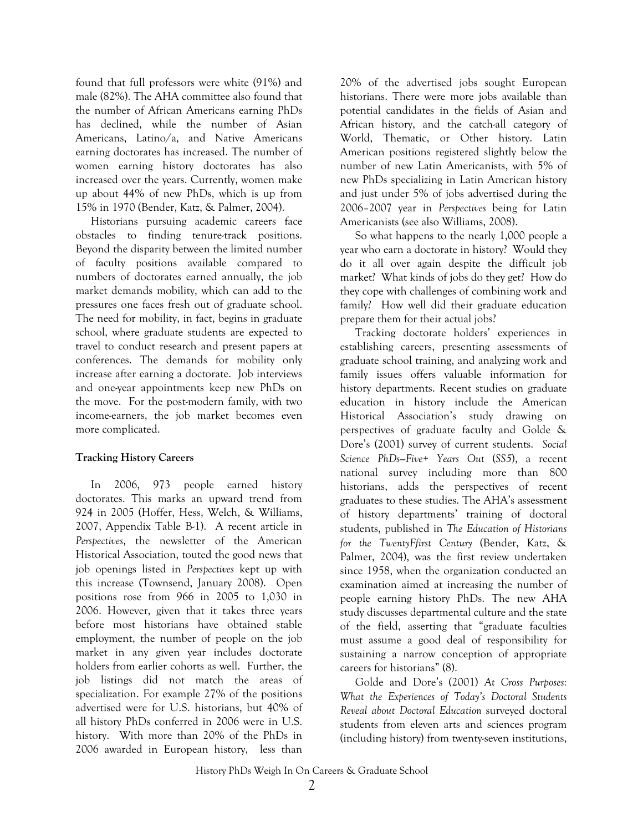found that full professors were white (91%) and male (82%). The AHA committee also found that the number of African Americans earning PhDs has declined, while the number of Asian Americans, Latino/a, and Native Americans earning doctorates has increased. The number of women earning history doctorates has also increased over the years. Currently, women make up about 44% of new PhDs, which is up from 15% in 1970 (Bender, Katz, & Palmer, 2004).

Historians pursuing academic careers face obstacles to finding tenure-track positions. Beyond the disparity between the limited number of faculty positions available compared to numbers of doctorates earned annually, the job market demands mobility, which can add to the pressures one faces fresh out of graduate school. The need for mobility, in fact, begins in graduate school, where graduate students are expected to travel to conduct research and present papers at conferences. The demands for mobility only increase after earning a doctorate. Job interviews and one-year appointments keep new PhDs on the move. For the post-modern family, with two income-earners, the job market becomes even more complicated.

#### **Tracking History Careers**

In 2006, 973 people earned history doctorates. This marks an upward trend from 924 in 2005 (Hoffer, Hess, Welch, & Williams, 2007, Appendix Table B-1). A recent article in *Perspectives*, the newsletter of the American Historical Association, touted the good news that job openings listed in *Perspectives* kept up with this increase (Townsend, January 2008). Open positions rose from 966 in 2005 to 1,030 in 2006. However, given that it takes three years before most historians have obtained stable employment, the number of people on the job market in any given year includes doctorate holders from earlier cohorts as well. Further, the job listings did not match the areas of specialization. For example 27% of the positions advertised were for U.S. historians, but 40% of all history PhDs conferred in 2006 were in U.S. history. With more than 20% of the PhDs in 2006 awarded in European history, less than

20% of the advertised jobs sought European historians. There were more jobs available than potential candidates in the fields of Asian and African history, and the catch-all category of World, Thematic, or Other history. Latin American positions registered slightly below the number of new Latin Americanists, with 5% of new PhDs specializing in Latin American history and just under 5% of jobs advertised during the 2006–2007 year in *Perspectives* being for Latin Americanists (see also Williams, 2008).

So what happens to the nearly 1,000 people a year who earn a doctorate in history? Would they do it all over again despite the difficult job market? What kinds of jobs do they get? How do they cope with challenges of combining work and family? How well did their graduate education prepare them for their actual jobs?

Tracking doctorate holders' experiences in establishing careers, presenting assessments of graduate school training, and analyzing work and family issues offers valuable information for history departments. Recent studies on graduate education in history include the American Historical Association's study drawing on perspectives of graduate faculty and Golde & Dore's (2001) survey of current students. *Social Science PhDs—Five+ Years Out* (*SS5*), a recent national survey including more than 800 historians, adds the perspectives of recent graduates to these studies. The AHA's assessment of history departments' training of doctoral students, published in *The Education of Historians for the TwentyFfirst Century* (Bender, Katz, & Palmer, 2004), was the first review undertaken since 1958, when the organization conducted an examination aimed at increasing the number of people earning history PhDs. The new AHA study discusses departmental culture and the state of the field, asserting that "graduate faculties must assume a good deal of responsibility for sustaining a narrow conception of appropriate careers for historians" (8).

Golde and Dore's (2001) *At Cross Purposes: What the Experiences of Today's Doctoral Students Reveal about Doctoral Education* surveyed doctoral students from eleven arts and sciences program (including history) from twenty-seven institutions,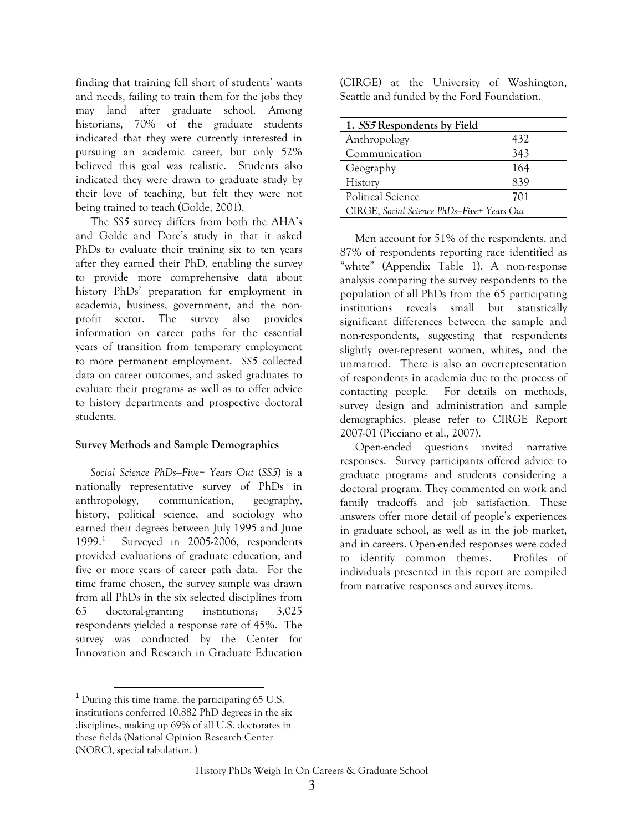finding that training fell short of students' wants and needs, failing to train them for the jobs they may land after graduate school. Among historians, 70% of the graduate students indicated that they were currently interested in pursuing an academic career, but only 52% believed this goal was realistic. Students also indicated they were drawn to graduate study by their love of teaching, but felt they were not being trained to teach (Golde, 2001).

The *SS5* survey differs from both the AHA's and Golde and Dore's study in that it asked PhDs to evaluate their training six to ten years after they earned their PhD, enabling the survey to provide more comprehensive data about history PhDs' preparation for employment in academia, business, government, and the nonprofit sector. The survey also provides information on career paths for the essential years of transition from temporary employment to more permanent employment. *SS5* collected data on career outcomes, and asked graduates to evaluate their programs as well as to offer advice to history departments and prospective doctoral students.

#### **Survey Methods and Sample Demographics**

*Social Science PhDs—Five+ Years Out* (*SS5*) is a nationally representative survey of PhDs in anthropology, communication, geography, history, political science, and sociology who earned their degrees between July 1995 and June 1999.[1](#page-7-0) Surveyed in 2005-2006, respondents provided evaluations of graduate education, and five or more years of career path data. For the time frame chosen, the survey sample was drawn from all PhDs in the six selected disciplines from 65 doctoral-granting institutions; 3,025 respondents yielded a response rate of 45%. The survey was conducted by the Center for Innovation and Research in Graduate Education

<span id="page-7-0"></span> $1$  During this time frame, the participating 65 U.S. institutions conferred 10,882 PhD degrees in the six disciplines, making up 69% of all U.S. doctorates in these fields (National Opinion Research Center (NORC), special tabulation. )

(CIRGE) at the University of Washington, Seattle and funded by the Ford Foundation.

| 1. SS5 Respondents by Field                |     |  |  |  |
|--------------------------------------------|-----|--|--|--|
| Anthropology                               | 432 |  |  |  |
| Communication                              | 343 |  |  |  |
| Geography                                  | 164 |  |  |  |
| History                                    | 839 |  |  |  |
| Political Science                          | 701 |  |  |  |
| CIRGE, Social Science PhDs-Five+ Years Out |     |  |  |  |

Men account for 51% of the respondents, and 87% of respondents reporting race identified as "white" (Appendix Table 1). A non-response analysis comparing the survey respondents to the population of all PhDs from the 65 participating institutions reveals small but statistically significant differences between the sample and non-respondents, suggesting that respondents slightly over-represent women, whites, and the unmarried. There is also an overrepresentation of respondents in academia due to the process of contacting people. For details on methods, survey design and administration and sample demographics, please refer to CIRGE Report 2007-01 (Picciano et al., 2007).

Open-ended questions invited narrative responses. Survey participants offered advice to graduate programs and students considering a doctoral program. They commented on work and family tradeoffs and job satisfaction. These answers offer more detail of people's experiences in graduate school, as well as in the job market, and in careers. Open-ended responses were coded to identify common themes. Profiles of individuals presented in this report are compiled from narrative responses and survey items.

History PhDs Weigh In On Careers & Graduate School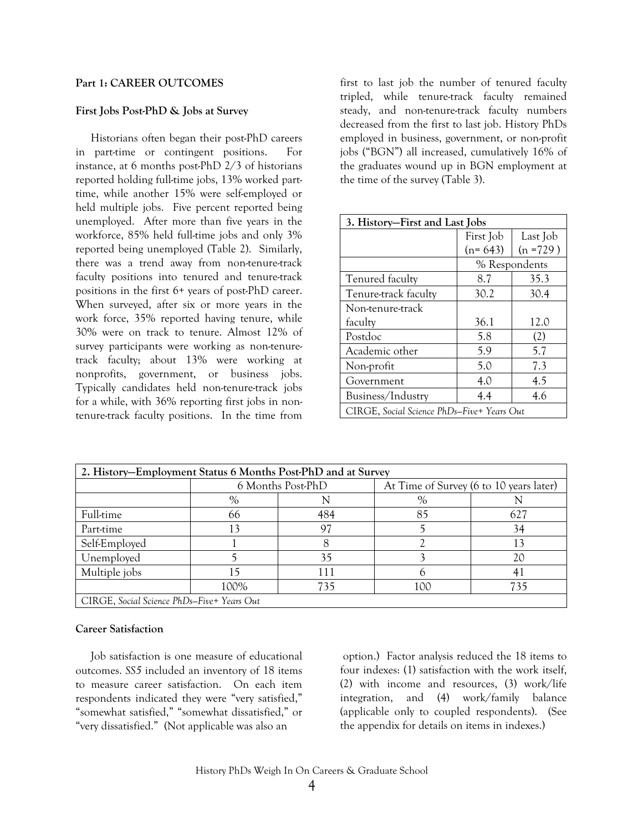#### **Part 1: CAREER OUTCOMES**

#### **First Jobs Post-PhD & Jobs at Survey**

Historians often began their post-PhD careers in part-time or contingent positions. For instance, at 6 months post-PhD 2/3 of historians reported holding full-time jobs, 13% worked parttime, while another 15% were self-employed or held multiple jobs. Five percent reported being unemployed. After more than five years in the workforce, 85% held full-time jobs and only 3% reported being unemployed (Table 2). Similarly, there was a trend away from non-tenure-track faculty positions into tenured and tenure-track positions in the first 6+ years of post-PhD career. When surveyed, after six or more years in the work force, 35% reported having tenure, while 30% were on track to tenure. Almost 12% of survey participants were working as non-tenuretrack faculty; about 13% were working at nonprofits, government, or business jobs. Typically candidates held non-tenure-track jobs for a while, with 36% reporting first jobs in nontenure-track faculty positions. In the time from

first to last job the number of tenured faculty tripled, while tenure-track faculty remained steady, and non-tenure-track faculty numbers decreased from the first to last job. History PhDs employed in business, government, or non-profit jobs ("BGN") all increased, cumulatively 16% of the graduates wound up in BGN employment at the time of the survey (Table 3).

| 3. History–First and Last Jobs             |               |             |  |  |  |
|--------------------------------------------|---------------|-------------|--|--|--|
|                                            | First Job     | Last Job    |  |  |  |
|                                            | $(n=643)$     | $(n = 729)$ |  |  |  |
|                                            | % Respondents |             |  |  |  |
| Tenured faculty                            | 8.7           | 35.3        |  |  |  |
| Tenure-track faculty                       | 30.2          | 30.4        |  |  |  |
| Non-tenure-track                           |               |             |  |  |  |
| faculty                                    | 36.1          | 12.0        |  |  |  |
| Postdoc                                    | 5.8           | (2)         |  |  |  |
| Academic other                             | 5.9           | 5.7         |  |  |  |
| Non-profit                                 | 5.0           | 7.3         |  |  |  |
| Government                                 | 4.0           | 4.5         |  |  |  |
| Business/Industry                          | 4.4           | 4.6         |  |  |  |
| CIRGE, Social Science PhDs–Five+ Years Out |               |             |  |  |  |

| 2. History-Employment Status 6 Months Post-PhD and at Survey |                                            |                   |                                         |     |  |  |  |
|--------------------------------------------------------------|--------------------------------------------|-------------------|-----------------------------------------|-----|--|--|--|
|                                                              |                                            | 6 Months Post-PhD | At Time of Survey (6 to 10 years later) |     |  |  |  |
|                                                              | $\%$                                       | $\%$              |                                         |     |  |  |  |
| <b>Full-time</b>                                             | 66                                         | 484               | 85                                      | 627 |  |  |  |
| Part-time                                                    | 13                                         | 97                |                                         | 34  |  |  |  |
| Self-Employed                                                |                                            |                   |                                         | 13  |  |  |  |
| Unemployed                                                   |                                            | 35                |                                         | 20  |  |  |  |
| Multiple jobs                                                | 5                                          | 111               |                                         |     |  |  |  |
|                                                              | 100%                                       | 735               | 100                                     | 735 |  |  |  |
|                                                              | CIRGE, Social Science PhDs–Five+ Years Out |                   |                                         |     |  |  |  |

#### **Career Satisfaction**

Job satisfaction is one measure of educational outcomes. *SS5* included an inventory of 18 items to measure career satisfaction. On each item respondents indicated they were "very satisfied," "somewhat satisfied," "somewhat dissatisfied," or "very dissatisfied." (Not applicable was also an

 option.) Factor analysis reduced the 18 items to four indexes: (1) satisfaction with the work itself, (2) with income and resources, (3) work/life integration, and (4) work/family balance (applicable only to coupled respondents). (See the appendix for details on items in indexes.)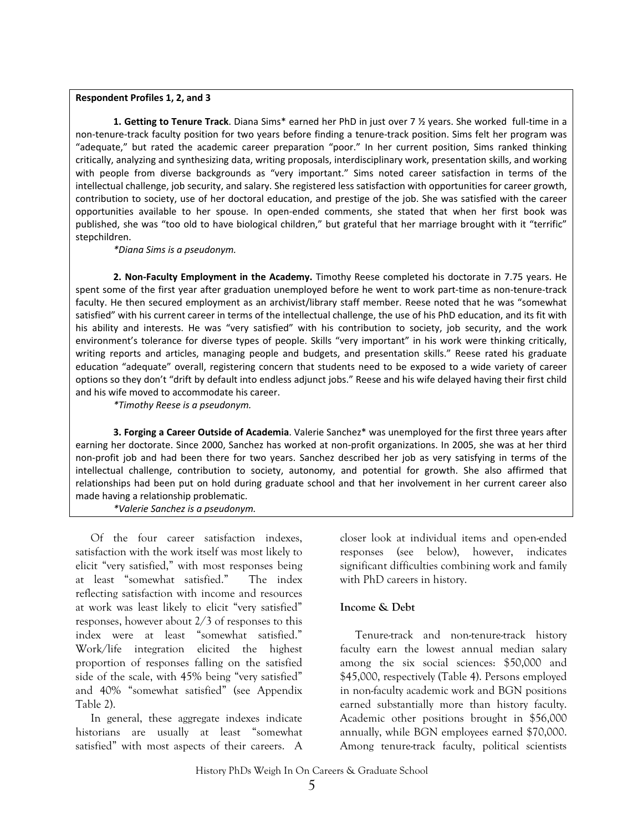#### **Respondent Profiles 1, 2, and 3**

**1. Getting to Tenure Track**. Diana Sims\* earned her PhD in just over 7 ½ years. She worked full‐time in a non‐tenure‐track faculty position for two years before finding a tenure‐track position. Sims felt her program was "adequate," but rated the academic career preparation "poor." In her current position, Sims ranked thinking critically, analyzing and synthesizing data, writing proposals, interdisciplinary work, presentation skills, and working with people from diverse backgrounds as "very important." Sims noted career satisfaction in terms of the intellectual challenge, job security, and salary. She registered less satisfaction with opportunities for career growth, contribution to society, use of her doctoral education, and prestige of the job. She was satisfied with the career opportunities available to her spouse. In open‐ended comments, she stated that when her first book was published, she was "too old to have biological children," but grateful that her marriage brought with it "terrific" stepchildren.

*\*Diana Sims is a pseudonym.*

**2. Non‐Faculty Employment in the Academy.** Timothy Reese completed his doctorate in 7.75 years. He spent some of the first year after graduation unemployed before he went to work part-time as non-tenure-track faculty. He then secured employment as an archivist/library staff member. Reese noted that he was "somewhat satisfied" with his current career in terms of the intellectual challenge, the use of his PhD education, and its fit with his ability and interests. He was "very satisfied" with his contribution to society, job security, and the work environment's tolerance for diverse types of people. Skills "very important" in his work were thinking critically, writing reports and articles, managing people and budgets, and presentation skills." Reese rated his graduate education "adequate" overall, registering concern that students need to be exposed to a wide variety of career options so they don't "drift by default into endless adjunct jobs." Reese and his wife delayed having their first child and his wife moved to accommodate his career.

*\*Timothy Reese is a pseudonym.*

**3. Forging a Career Outside of Academia**. Valerie Sanchez\* was unemployed for the first three years after earning her doctorate. Since 2000, Sanchez has worked at non-profit organizations. In 2005, she was at her third non‐profit job and had been there for two years. Sanchez described her job as very satisfying in terms of the intellectual challenge, contribution to society, autonomy, and potential for growth. She also affirmed that relationships had been put on hold during graduate school and that her involvement in her current career also made having a relationship problematic.

*\*Valerie Sanchez is a pseudonym.*

Of the four career satisfaction indexes, satisfaction with the work itself was most likely to elicit "very satisfied," with most responses being at least "somewhat satisfied." The index reflecting satisfaction with income and resources at work was least likely to elicit "very satisfied" responses, however about 2/3 of responses to this index were at least "somewhat satisfied." Work/life integration elicited the highest proportion of responses falling on the satisfied side of the scale, with 45% being "very satisfied" and 40% "somewhat satisfied" (see Appendix Table 2).

In general, these aggregate indexes indicate historians are usually at least "somewhat satisfied" with most aspects of their careers. A

closer look at individual items and open-ended responses (see below), however, indicates significant difficulties combining work and family with PhD careers in history.

#### **Income & Debt**

Tenure-track and non-tenure-track history faculty earn the lowest annual median salary among the six social sciences: \$50,000 and \$45,000, respectively (Table 4). Persons employed in non-faculty academic work and BGN positions earned substantially more than history faculty. Academic other positions brought in \$56,000 annually, while BGN employees earned \$70,000. Among tenure-track faculty, political scientists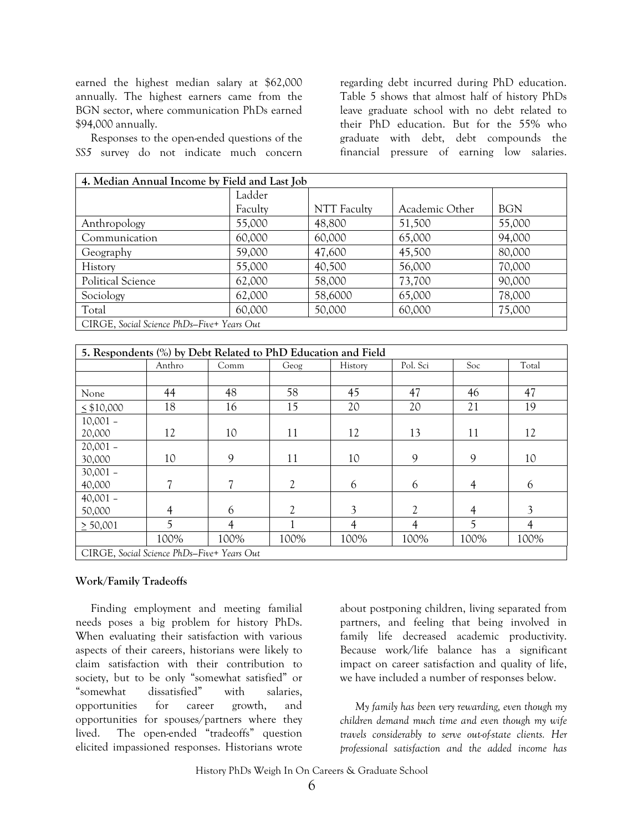earned the highest median salary at \$62,000 annually. The highest earners came from the BGN sector, where communication PhDs earned \$94,000 annually.

Responses to the open-ended questions of the *SS5* survey do not indicate much concern

regarding debt incurred during PhD education. Table 5 shows that almost half of history PhDs leave graduate school with no debt related to their PhD education. But for the 55% who graduate with debt, debt compounds the financial pressure of earning low salaries.

| 4. Median Annual Income by Field and Last Job |         |                    |                |            |  |  |  |
|-----------------------------------------------|---------|--------------------|----------------|------------|--|--|--|
|                                               | Ladder  |                    |                |            |  |  |  |
|                                               | Faculty | <b>NTT</b> Faculty | Academic Other | <b>BGN</b> |  |  |  |
| Anthropology                                  | 55,000  | 48,800             | 51,500         | 55,000     |  |  |  |
| Communication                                 | 60,000  | 60,000             | 65,000         | 94,000     |  |  |  |
| Geography                                     | 59,000  | 47,600             | 45,500         | 80,000     |  |  |  |
| History                                       | 55,000  | 40,500             | 56,000         | 70,000     |  |  |  |
| <b>Political Science</b>                      | 62,000  | 58,000             | 73,700         | 90,000     |  |  |  |
| Sociology                                     | 62,000  | 58,6000            | 65,000         | 78,000     |  |  |  |
| Total                                         | 60,000  | 50,000             | 60,000         | 75,000     |  |  |  |
| CIRGE, Social Science PhDs-Five+ Years Out    |         |                    |                |            |  |  |  |

| 5. Respondents (%) by Debt Related to PhD Education and Field |                |      |                |                |                |      |       |
|---------------------------------------------------------------|----------------|------|----------------|----------------|----------------|------|-------|
|                                                               | Anthro         | Comm | Geog           | History        | Pol. Sci       | Soc  | Total |
|                                                               |                |      |                |                |                |      |       |
| None                                                          | 44             | 48   | 58             | 45             | 47             | 46   | 47    |
| $\leq$ \$10,000                                               | 18             | 16   | 15             | 20             | 20             | 21   | 19    |
| $10,001 -$                                                    |                |      |                |                |                |      |       |
| 20,000                                                        | 12             | 10   | 11             | 12             | 13             | 11   | 12    |
| $20,001 -$                                                    |                |      |                |                |                |      |       |
| 30,000                                                        | 10             | 9    | 11             | 10             | 9              | 9    | 10    |
| $30,001 -$                                                    |                |      |                |                |                |      |       |
| 40,000                                                        | 7              | 7    | $\overline{2}$ | 6              | 6              | 4    | 6     |
| $40,001 -$                                                    |                |      |                |                |                |      |       |
| 50,000                                                        | $\overline{4}$ | 6    | $\overline{2}$ | 3              | $\overline{2}$ | 4    | 3     |
| > 50,001                                                      | $\overline{5}$ | 4    |                | $\overline{4}$ | 4              | 5    | 4     |
|                                                               | 100%           | 100% | 100%           | 100%           | 100%           | 100% | 100%  |
| CIRGE, Social Science PhDs-Five+ Years Out                    |                |      |                |                |                |      |       |

#### **Work/Family Tradeoffs**

Finding employment and meeting familial needs poses a big problem for history PhDs. When evaluating their satisfaction with various aspects of their careers, historians were likely to claim satisfaction with their contribution to society, but to be only "somewhat satisfied" or "somewhat dissatisfied" with salaries, opportunities for career growth, and opportunities for spouses/partners where they lived. The open-ended "tradeoffs" question elicited impassioned responses. Historians wrote

about postponing children, living separated from partners, and feeling that being involved in family life decreased academic productivity. Because work/life balance has a significant impact on career satisfaction and quality of life, we have included a number of responses below.

*My family has been very rewarding, even though my children demand much time and even though my wife travels considerably to serve out-of-state clients. Her professional satisfaction and the added income has* 

History PhDs Weigh In On Careers & Graduate School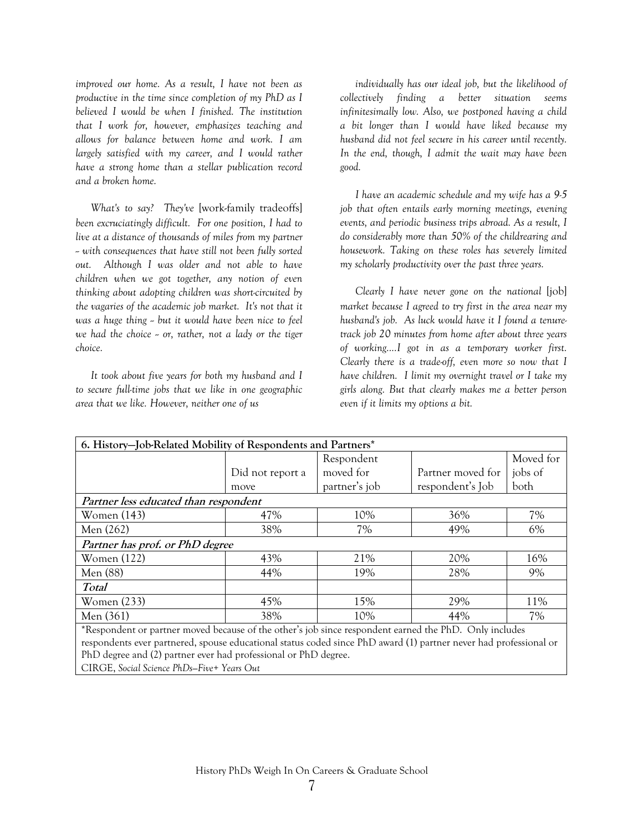*improved our home. As a result, I have not been as productive in the time since completion of my PhD as I believed I would be when I finished. The institution that I work for, however, emphasizes teaching and allows for balance between home and work. I am largely satisfied with my career, and I would rather have a strong home than a stellar publication record and a broken home.* 

*What's to say? They've* [work-family tradeoffs] *been excruciatingly difficult. For one position, I had to live at a distance of thousands of miles from my partner -- with consequences that have still not been fully sorted out. Although I was older and not able to have children when we got together, any notion of even thinking about adopting children was short-circuited by the vagaries of the academic job market. It's not that it was a huge thing -- but it would have been nice to feel*  we had the choice  $\sim$  or, rather, not a lady or the tiger *choice.* 

*It took about five years for both my husband and I to secure full-time jobs that we like in one geographic area that we like. However, neither one of us* 

*individually has our ideal job, but the likelihood of collectively finding a better situation seems infinitesimally low. Also, we postponed having a child a bit longer than I would have liked because my husband did not feel secure in his career until recently. In the end, though, I admit the wait may have been good.* 

*I have an academic schedule and my wife has a 9-5 job that often entails early morning meetings, evening events, and periodic business trips abroad. As a result, I do considerably more than 50% of the childrearing and housework. Taking on these roles has severely limited my scholarly productivity over the past three years.* 

*Clearly I have never gone on the national* [job] *market because I agreed to try first in the area near my husband's job. As luck would have it I found a tenuretrack job 20 minutes from home after about three years of working....I got in as a temporary worker first. Clearly there is a trade-off, even more so now that I have children. I limit my overnight travel or I take my girls along. But that clearly makes me a better person even if it limits my options a bit.* 

| 6. History-Job-Related Mobility of Respondents and Partners*                                                      |                  |               |                   |           |  |  |  |
|-------------------------------------------------------------------------------------------------------------------|------------------|---------------|-------------------|-----------|--|--|--|
|                                                                                                                   |                  | Respondent    |                   | Moved for |  |  |  |
|                                                                                                                   | Did not report a | moved for     | Partner moved for | jobs of   |  |  |  |
|                                                                                                                   | move             | partner's job | respondent's Job  | both      |  |  |  |
| Partner less educated than respondent                                                                             |                  |               |                   |           |  |  |  |
| Women (143)                                                                                                       | 47%              | 10%           | 36%               | 7%        |  |  |  |
| Men (262)                                                                                                         | 38%              | 7%            | 49%               | 6%        |  |  |  |
| Partner has prof. or PhD degree                                                                                   |                  |               |                   |           |  |  |  |
| Women $(122)$                                                                                                     | 43%              | 21%           | 20%               | 16%       |  |  |  |
| Men (88)                                                                                                          | 44%              | 19%           | 28%               | 9%        |  |  |  |
| <b>Total</b>                                                                                                      |                  |               |                   |           |  |  |  |
| <b>Women</b> (233)                                                                                                | 45%              | 15%           | 29%               | 11%       |  |  |  |
| Men (361)                                                                                                         | 38%              | 10%           | 44%               | 7%        |  |  |  |
| *Respondent or partner moved because of the other's job since respondent earned the PhD. Only includes            |                  |               |                   |           |  |  |  |
| respondents ever partnered, spouse educational status coded since PhD award (1) partner never had professional or |                  |               |                   |           |  |  |  |
| PhD degree and (2) partner ever had professional or PhD degree.                                                   |                  |               |                   |           |  |  |  |

CIRGE, *Social Science PhDs—Five+ Years Out*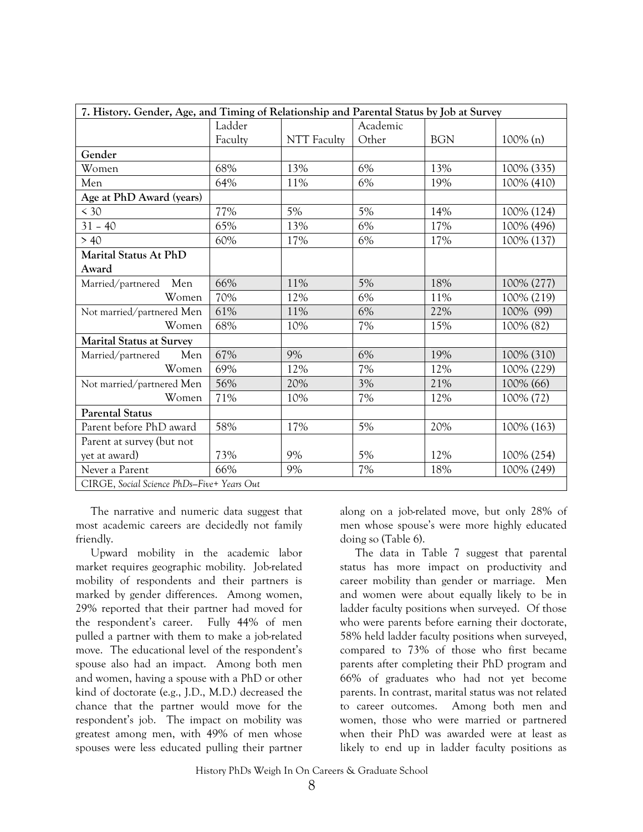| 7. History. Gender, Age, and Timing of Relationship and Parental Status by Job at Survey |         |                    |          |            |             |  |
|------------------------------------------------------------------------------------------|---------|--------------------|----------|------------|-------------|--|
|                                                                                          | Ladder  |                    | Academic |            |             |  |
|                                                                                          | Faculty | <b>NTT</b> Faculty | Other    | <b>BGN</b> | $100\%$ (n) |  |
| Gender                                                                                   |         |                    |          |            |             |  |
| Women                                                                                    | 68%     | 13%                | 6%       | 13%        | 100% (335)  |  |
| Men                                                                                      | 64%     | 11%                | 6%       | 19%        | 100% (410)  |  |
| Age at PhD Award (years)                                                                 |         |                    |          |            |             |  |
| < 30                                                                                     | 77%     | 5%                 | $5\%$    | 14%        | 100% (124)  |  |
| $31 - 40$                                                                                | 65%     | 13%                | 6%       | 17%        | 100% (496)  |  |
| > 40                                                                                     | 60%     | 17%                | 6%       | 17%        | 100% (137)  |  |
| <b>Marital Status At PhD</b>                                                             |         |                    |          |            |             |  |
| Award                                                                                    |         |                    |          |            |             |  |
| Married/partnered Men                                                                    | 66%     | 11%                | 5%       | 18%        | 100% (277)  |  |
| Women                                                                                    | 70%     | 12%                | 6%       | 11%        | 100% (219)  |  |
| Not married/partnered Men                                                                | 61%     | 11%                | 6%       | 22%        | 100% (99)   |  |
| Women                                                                                    | 68%     | 10%                | $7\%$    | 15%        | 100% (82)   |  |
| <b>Marital Status at Survey</b>                                                          |         |                    |          |            |             |  |
| Married/partnered<br>Men                                                                 | 67%     | 9%                 | 6%       | 19%        | 100% (310)  |  |
| Women                                                                                    | 69%     | 12%                | 7%       | 12%        | 100% (229)  |  |
| Not married/partnered Men                                                                | 56%     | 20%                | 3%       | 21%        | 100% (66)   |  |
| Women                                                                                    | 71%     | 10%                | 7%       | 12%        | 100% (72)   |  |
| <b>Parental Status</b>                                                                   |         |                    |          |            |             |  |
| Parent before PhD award                                                                  | 58%     | 17%                | 5%       | 20%        | 100% (163)  |  |
| Parent at survey (but not                                                                |         |                    |          |            |             |  |
| yet at award)                                                                            | 73%     | 9%                 | 5%       | 12%        | 100% (254)  |  |
| Never a Parent                                                                           | 66%     | 9%                 | $7\%$    | 18%        | 100% (249)  |  |
| CIRGE, Social Science PhDs-Five+ Years Out                                               |         |                    |          |            |             |  |

The narrative and numeric data suggest that most academic careers are decidedly not family friendly.

Upward mobility in the academic labor market requires geographic mobility. Job-related mobility of respondents and their partners is marked by gender differences. Among women, 29% reported that their partner had moved for the respondent's career. Fully 44% of men pulled a partner with them to make a job-related move. The educational level of the respondent's spouse also had an impact. Among both men and women, having a spouse with a PhD or other kind of doctorate (e.g., J.D., M.D.) decreased the chance that the partner would move for the respondent's job. The impact on mobility was greatest among men, with 49% of men whose spouses were less educated pulling their partner along on a job-related move, but only 28% of men whose spouse's were more highly educated doing so (Table 6).

The data in Table 7 suggest that parental status has more impact on productivity and career mobility than gender or marriage. Men and women were about equally likely to be in ladder faculty positions when surveyed. Of those who were parents before earning their doctorate, 58% held ladder faculty positions when surveyed, compared to 73% of those who first became parents after completing their PhD program and 66% of graduates who had not yet become parents. In contrast, marital status was not related to career outcomes. Among both men and women, those who were married or partnered when their PhD was awarded were at least as likely to end up in ladder faculty positions as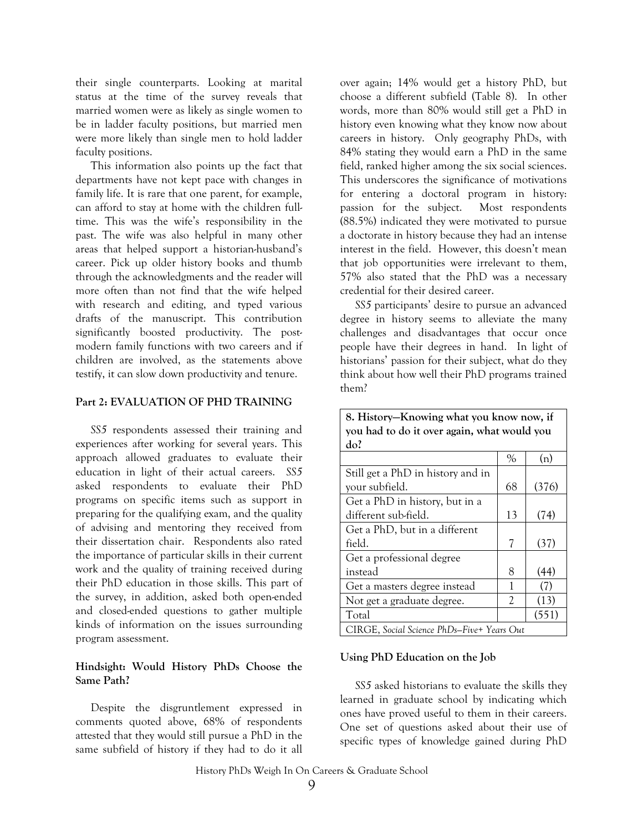their single counterparts. Looking at marital status at the time of the survey reveals that married women were as likely as single women to be in ladder faculty positions, but married men were more likely than single men to hold ladder faculty positions.

This information also points up the fact that departments have not kept pace with changes in family life. It is rare that one parent, for example, can afford to stay at home with the children fulltime. This was the wife's responsibility in the past. The wife was also helpful in many other areas that helped support a historian-husband's career. Pick up older history books and thumb through the acknowledgments and the reader will more often than not find that the wife helped with research and editing, and typed various drafts of the manuscript. This contribution significantly boosted productivity. The postmodern family functions with two careers and if children are involved, as the statements above testify, it can slow down productivity and tenure.

#### **Part 2: EVALUATION OF PHD TRAINING**

*SS5* respondents assessed their training and experiences after working for several years. This approach allowed graduates to evaluate their education in light of their actual careers. *SS5* asked respondents to evaluate their PhD programs on specific items such as support in preparing for the qualifying exam, and the quality of advising and mentoring they received from their dissertation chair. Respondents also rated the importance of particular skills in their current work and the quality of training received during their PhD education in those skills. This part of the survey, in addition, asked both open-ended and closed-ended questions to gather multiple kinds of information on the issues surrounding program assessment.

#### **Hindsight: Would History PhDs Choose the Same Path?**

Despite the disgruntlement expressed in comments quoted above, 68% of respondents attested that they would still pursue a PhD in the same subfield of history if they had to do it all

over again; 14% would get a history PhD, but choose a different subfield (Table 8). In other words, more than 80% would still get a PhD in history even knowing what they know now about careers in history. Only geography PhDs, with 84% stating they would earn a PhD in the same field, ranked higher among the six social sciences. This underscores the significance of motivations for entering a doctoral program in history: passion for the subject. Most respondents (88.5%) indicated they were motivated to pursue a doctorate in history because they had an intense interest in the field. However, this doesn't mean that job opportunities were irrelevant to them, 57% also stated that the PhD was a necessary credential for their desired career.

*SS5* participants' desire to pursue an advanced degree in history seems to alleviate the many challenges and disadvantages that occur once people have their degrees in hand. In light of historians' passion for their subject, what do they think about how well their PhD programs trained them?

| 8. History–Knowing what you know now, if    |      |       |  |  |  |  |  |
|---------------------------------------------|------|-------|--|--|--|--|--|
| you had to do it over again, what would you |      |       |  |  |  |  |  |
| do?                                         |      |       |  |  |  |  |  |
|                                             | $\%$ | (n)   |  |  |  |  |  |
| Still get a PhD in history and in           |      |       |  |  |  |  |  |
| your subfield.                              | 68   | (376) |  |  |  |  |  |
| Get a PhD in history, but in a              |      |       |  |  |  |  |  |
| different sub-field.                        | 13   | (74)  |  |  |  |  |  |
| Get a PhD, but in a different               |      |       |  |  |  |  |  |
| field.                                      | 7    | (37)  |  |  |  |  |  |
| Get a professional degree                   |      |       |  |  |  |  |  |
| instead                                     | 8    | (44)  |  |  |  |  |  |
| Get a masters degree instead                | 1    | (7)   |  |  |  |  |  |
| Not get a graduate degree.                  | 2    | (13)  |  |  |  |  |  |
| Total                                       |      | (551) |  |  |  |  |  |
| CIRGE, Social Science PhDs–Five+ Years Out  |      |       |  |  |  |  |  |

#### **Using PhD Education on the Job**

*SS5* asked historians to evaluate the skills they learned in graduate school by indicating which ones have proved useful to them in their careers. One set of questions asked about their use of specific types of knowledge gained during PhD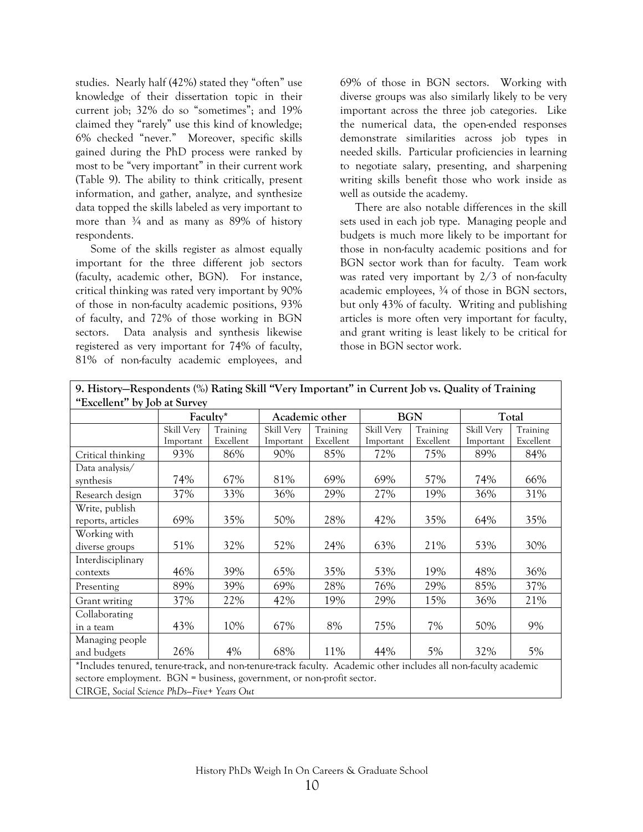studies. Nearly half (42%) stated they "often" use knowledge of their dissertation topic in their current job; 32% do so "sometimes"; and 19% claimed they "rarely" use this kind of knowledge; 6% checked "never." Moreover, specific skills gained during the PhD process were ranked by most to be "very important" in their current work (Table 9). The ability to think critically, present information, and gather, analyze, and synthesize data topped the skills labeled as very important to more than  $\frac{3}{4}$  and as many as 89% of history respondents.

Some of the skills register as almost equally important for the three different job sectors (faculty, academic other, BGN). For instance, critical thinking was rated very important by 90% of those in non-faculty academic positions, 93% of faculty, and 72% of those working in BGN sectors. Data analysis and synthesis likewise registered as very important for 74% of faculty, 81% of non-faculty academic employees, and

69% of those in BGN sectors. Working with diverse groups was also similarly likely to be very important across the three job categories. Like the numerical data, the open-ended responses demonstrate similarities across job types in needed skills. Particular proficiencies in learning to negotiate salary, presenting, and sharpening writing skills benefit those who work inside as well as outside the academy.

There are also notable differences in the skill sets used in each job type. Managing people and budgets is much more likely to be important for those in non-faculty academic positions and for BGN sector work than for faculty. Team work was rated very important by 2/3 of non-faculty academic employees, ¾ of those in BGN sectors, but only 43% of faculty. Writing and publishing articles is more often very important for faculty, and grant writing is least likely to be critical for those in BGN sector work.

| "Excellent" by Job at Survey                                                                                    |                                                   |           |            |                |            |           |            |           |
|-----------------------------------------------------------------------------------------------------------------|---------------------------------------------------|-----------|------------|----------------|------------|-----------|------------|-----------|
|                                                                                                                 |                                                   | Faculty*  |            | Academic other | <b>BGN</b> |           | Total      |           |
|                                                                                                                 | Skill Very                                        | Training  | Skill Very | Training       | Skill Very | Training  | Skill Very | Training  |
|                                                                                                                 | Important                                         | Excellent | Important  | Excellent      | Important  | Excellent | Important  | Excellent |
| Critical thinking                                                                                               | 93%                                               | 86%       | 90%        | 85%            | 72%        | 75%       | 89%        | 84%       |
| Data analysis/                                                                                                  |                                                   |           |            |                |            |           |            |           |
| synthesis                                                                                                       | 74%                                               | 67%       | 81%        | 69%            | 69%        | 57%       | 74%        | 66%       |
| Research design                                                                                                 | 37%                                               | 33%       | 36%        | 29%            | 27%        | 19%       | 36%        | 31%       |
| Write, publish                                                                                                  |                                                   |           |            |                |            |           |            |           |
| reports, articles                                                                                               | 69%                                               | 35%       | 50%        | 28%            | 42%        | 35%       | 64%        | 35%       |
| Working with                                                                                                    |                                                   |           |            |                |            |           |            |           |
| diverse groups                                                                                                  | 51%                                               | 32%       | 52%        | 24%            | 63%        | 21%       | 53%        | 30%       |
| Interdisciplinary                                                                                               |                                                   |           |            |                |            |           |            |           |
| contexts                                                                                                        | 46%                                               | 39%       | 65%        | 35%            | 53%        | 19%       | 48%        | 36%       |
| Presenting                                                                                                      | 89%                                               | 39%       | 69%        | 28%            | 76%        | 29%       | 85%        | 37%       |
| Grant writing                                                                                                   | 37%                                               | 22%       | 42%        | 19%            | 29%        | 15%       | 36%        | 21%       |
| Collaborating                                                                                                   |                                                   |           |            |                |            |           |            |           |
| in a team                                                                                                       | 43%                                               | 10%       | 67%        | 8%             | 75%        | 7%        | 50%        | 9%        |
| Managing people                                                                                                 |                                                   |           |            |                |            |           |            |           |
| and budgets                                                                                                     | 5%<br>26%<br>4%<br>68%<br>11%<br>44%<br>32%<br>5% |           |            |                |            |           |            |           |
| *Includes tenured, tenure-track, and non-tenure-track faculty. Academic other includes all non-faculty academic |                                                   |           |            |                |            |           |            |           |
| sectore employment. BGN = business, government, or non-profit sector.                                           |                                                   |           |            |                |            |           |            |           |
| CIRGE, Social Science PhDs-Five+ Years Out                                                                      |                                                   |           |            |                |            |           |            |           |

**9. History—Respondents (%) Rating Skill "Very Important" in Current Job vs. Quality of Training**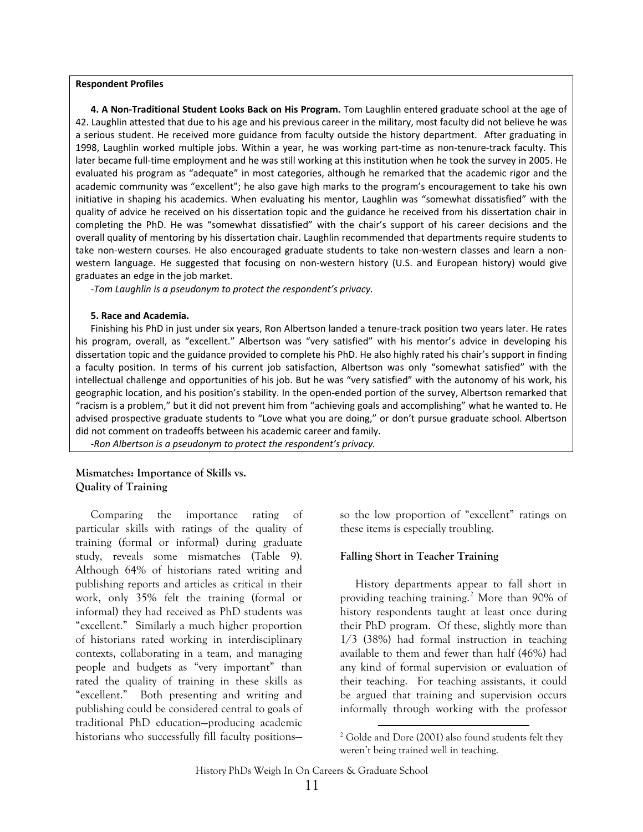#### **Respondent Profiles**

**4. A Non‐Traditional Student Looks Back on His Program.** Tom Laughlin entered graduate school at the age of 42. Laughlin attested that due to his age and his previous career in the military, most faculty did not believe he was a serious student. He received more guidance from faculty outside the history department. After graduating in 1998, Laughlin worked multiple jobs. Within a year, he was working part‐time as non‐tenure‐track faculty. This later became full‐time employment and he was still working at this institution when he took the survey in 2005. He evaluated his program as "adequate" in most categories, although he remarked that the academic rigor and the academic community was "excellent"; he also gave high marks to the program's encouragement to take his own initiative in shaping his academics. When evaluating his mentor, Laughlin was "somewhat dissatisfied" with the quality of advice he received on his dissertation topic and the guidance he received from his dissertation chair in completing the PhD. He was "somewhat dissatisfied" with the chair's support of his career decisions and the overall quality of mentoring by his dissertation chair. Laughlin recommended that departments require students to take non-western courses. He also encouraged graduate students to take non-western classes and learn a nonwestern language. He suggested that focusing on non-western history (U.S. and European history) would give graduates an edge in the job market.

*‐Tom Laughlin is a pseudonym to protect the respondent's privacy.*

#### **5. Race and Academia.**

Finishing his PhD in just under six years, Ron Albertson landed a tenure-track position two years later. He rates his program, overall, as "excellent." Albertson was "very satisfied" with his mentor's advice in developing his dissertation topic and the guidance provided to complete his PhD. He also highly rated his chair's support in finding a faculty position. In terms of his current job satisfaction, Albertson was only "somewhat satisfied" with the intellectual challenge and opportunities of his job. But he was "very satisfied" with the autonomy of his work, his geographic location, and his position's stability. In the open‐ended portion of the survey, Albertson remarked that "racism is a problem," but it did not prevent him from "achieving goals and accomplishing" what he wanted to. He advised prospective graduate students to "Love what you are doing," or don't pursue graduate school. Albertson did not comment on tradeoffs between his academic career and family.

*‐Ron Albertson is a pseudonym to protect the respondent's privacy.*

#### **Mismatches: Importance of Skills vs. Quality of Training**

<span id="page-15-0"></span>Comparing the importance rating of particular skills with ratings of the quality of training (formal or informal) during graduate study, reveals some mismatches (Table 9). Although 64% of historians rated writing and publishing reports and articles as critical in their work, only 35% felt the training (formal or informal) they had received as PhD students was "excellent." Similarly a much higher proportion of historians rated working in interdisciplinary contexts, collaborating in a team, and managing people and budgets as "very important" than rated the quality of training in these skills as "excellent." Both presenting and writing and publishing could be considered central to goals of traditional PhD education—producing academic historians who successfully fill faculty positionsso the low proportion of "excellent" ratings on these items is especially troubling.

#### **Falling Short in Teacher Training**

History departments appear to fall short in providing teaching training.<sup>[2](#page-15-0)</sup> More than 90% of history respondents taught at least once during their PhD program. Of these, slightly more than 1/3 (38%) had formal instruction in teaching available to them and fewer than half (46%) had any kind of formal supervision or evaluation of their teaching. For teaching assistants, it could be argued that training and supervision occurs informally through working with the professor

  $2^2$  Golde and Dore (2001) also found students felt they weren't being trained well in teaching.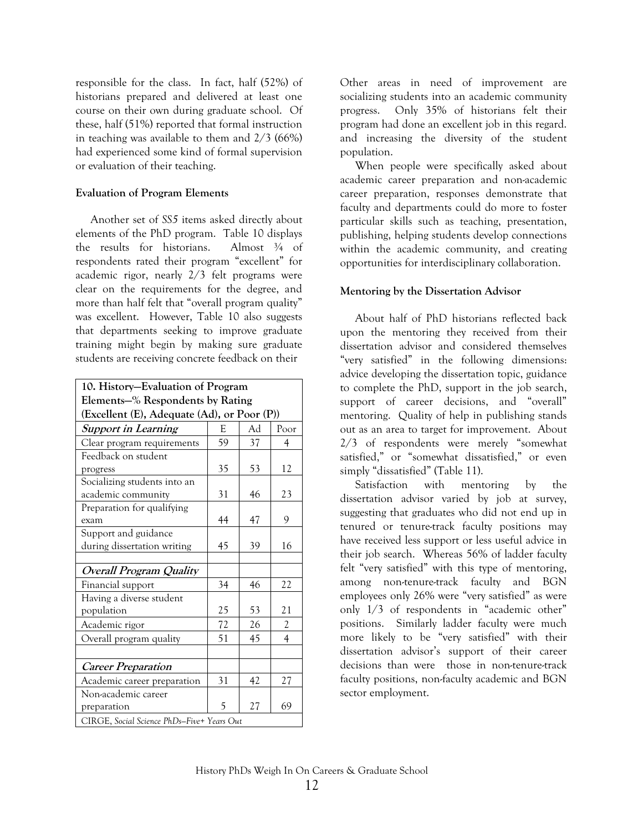responsible for the class. In fact, half (52%) of historians prepared and delivered at least one course on their own during graduate school. Of these, half (51%) reported that formal instruction in teaching was available to them and 2/3 (66%) had experienced some kind of formal supervision or evaluation of their teaching.

#### **Evaluation of Program Elements**

Another set of *SS5* items asked directly about elements of the PhD program. Table 10 displays the results for historians. Almost  $\frac{3}{4}$  of respondents rated their program "excellent" for academic rigor, nearly 2/3 felt programs were clear on the requirements for the degree, and more than half felt that "overall program quality" was excellent. However, Table 10 also suggests that departments seeking to improve graduate training might begin by making sure graduate students are receiving concrete feedback on their

| 10. History–Evaluation of Program             |    |    |                |  |  |  |
|-----------------------------------------------|----|----|----------------|--|--|--|
| Elements–% Respondents by Rating              |    |    |                |  |  |  |
| (Excellent (E), Adequate (Ad), or Poor (P))   |    |    |                |  |  |  |
| <b>Support in Learning</b><br>Ad<br>Poor<br>E |    |    |                |  |  |  |
| Clear program requirements                    | 59 | 37 | 4              |  |  |  |
| Feedback on student                           |    |    |                |  |  |  |
| progress                                      | 35 | 53 | 12             |  |  |  |
| Socializing students into an                  |    |    |                |  |  |  |
| academic community                            | 31 | 46 | 23             |  |  |  |
| Preparation for qualifying                    |    |    |                |  |  |  |
| exam                                          | 44 | 47 | 9              |  |  |  |
| Support and guidance                          |    |    |                |  |  |  |
| during dissertation writing                   | 45 | 39 | 16             |  |  |  |
|                                               |    |    |                |  |  |  |
| <b>Overall Program Quality</b>                |    |    |                |  |  |  |
| Financial support                             | 34 | 46 | 22             |  |  |  |
| Having a diverse student                      |    |    |                |  |  |  |
| population                                    | 25 | 53 | 21             |  |  |  |
| Academic rigor                                | 72 | 26 | $\overline{c}$ |  |  |  |
| Overall program quality                       | 51 | 45 | $\overline{4}$ |  |  |  |
|                                               |    |    |                |  |  |  |
| <b>Career Preparation</b>                     |    |    |                |  |  |  |
| Academic career preparation                   | 31 | 42 | 27             |  |  |  |
| Non-academic career                           |    |    |                |  |  |  |
| preparation                                   | 5  | 27 | 69             |  |  |  |
| CIRGE, Social Science PhDs-Five+ Years Out    |    |    |                |  |  |  |

Other areas in need of improvement are socializing students into an academic community progress. Only 35% of historians felt their program had done an excellent job in this regard. and increasing the diversity of the student population.

When people were specifically asked about academic career preparation and non-academic career preparation, responses demonstrate that faculty and departments could do more to foster particular skills such as teaching, presentation, publishing, helping students develop connections within the academic community, and creating opportunities for interdisciplinary collaboration.

#### **Mentoring by the Dissertation Advisor**

About half of PhD historians reflected back upon the mentoring they received from their dissertation advisor and considered themselves "very satisfied" in the following dimensions: advice developing the dissertation topic, guidance to complete the PhD, support in the job search, support of career decisions, and "overall" mentoring. Quality of help in publishing stands out as an area to target for improvement. About 2/3 of respondents were merely "somewhat satisfied," or "somewhat dissatisfied," or even simply "dissatisfied" (Table 11).

Satisfaction with mentoring by the dissertation advisor varied by job at survey, suggesting that graduates who did not end up in tenured or tenure-track faculty positions may have received less support or less useful advice in their job search. Whereas 56% of ladder faculty felt "very satisfied" with this type of mentoring, among non-tenure-track faculty and BGN employees only 26% were "very satisfied" as were only 1/3 of respondents in "academic other" positions. Similarly ladder faculty were much more likely to be "very satisfied" with their dissertation advisor's support of their career decisions than were those in non-tenure-track faculty positions, non-faculty academic and BGN sector employment.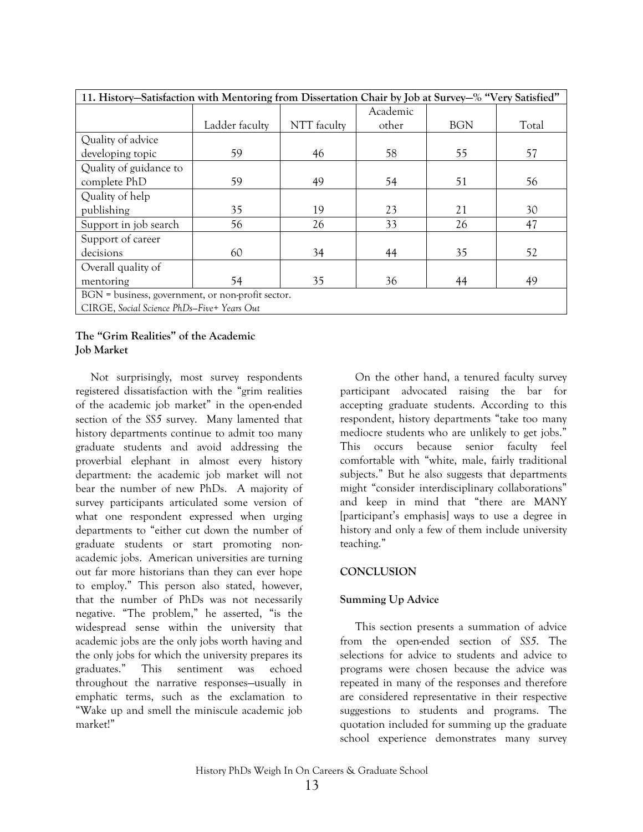| 11. History–Satisfaction with Mentoring from Dissertation Chair by Job at Survey–% "Very Satisfied" |                |             |          |            |       |  |  |
|-----------------------------------------------------------------------------------------------------|----------------|-------------|----------|------------|-------|--|--|
|                                                                                                     |                |             | Academic |            |       |  |  |
|                                                                                                     | Ladder faculty | NTT faculty | other    | <b>BGN</b> | Total |  |  |
| Quality of advice                                                                                   |                |             |          |            |       |  |  |
| developing topic                                                                                    | 59             | 46          | 58       | 55         | 57    |  |  |
| Quality of guidance to                                                                              |                |             |          |            |       |  |  |
| complete PhD                                                                                        | 59             | 49          | 54       | 51         | 56    |  |  |
| Quality of help                                                                                     |                |             |          |            |       |  |  |
| publishing                                                                                          | 35             | 19          | 23       | 21         | 30    |  |  |
| Support in job search                                                                               | 56             | 26          | 33       | 26         | 47    |  |  |
| Support of career                                                                                   |                |             |          |            |       |  |  |
| decisions                                                                                           | 60             | 34          | 44       | 35         | 52    |  |  |
| Overall quality of                                                                                  |                |             |          |            |       |  |  |
| mentoring                                                                                           | 54             | 35          | 36       | 44         | 49    |  |  |
| BGN = business, government, or non-profit sector.                                                   |                |             |          |            |       |  |  |
| CIRGE, Social Science PhDs-Five+ Years Out                                                          |                |             |          |            |       |  |  |

#### **The "Grim Realities" of the Academic Job Market**

Not surprisingly, most survey respondents registered dissatisfaction with the "grim realities of the academic job market" in the open-ended section of the *SS5* survey. Many lamented that history departments continue to admit too many graduate students and avoid addressing the proverbial elephant in almost every history department: the academic job market will not bear the number of new PhDs. A majority of survey participants articulated some version of what one respondent expressed when urging departments to "either cut down the number of graduate students or start promoting nonacademic jobs. American universities are turning out far more historians than they can ever hope to employ." This person also stated, however, that the number of PhDs was not necessarily negative. "The problem," he asserted, "is the widespread sense within the university that academic jobs are the only jobs worth having and the only jobs for which the university prepares its graduates." This sentiment was echoed throughout the narrative responses—usually in emphatic terms, such as the exclamation to "Wake up and smell the miniscule academic job market!"

On the other hand, a tenured faculty survey participant advocated raising the bar for accepting graduate students. According to this respondent, history departments "take too many mediocre students who are unlikely to get jobs." This occurs because senior faculty feel comfortable with "white, male, fairly traditional subjects." But he also suggests that departments might "consider interdisciplinary collaborations" and keep in mind that "there are MANY [participant's emphasis] ways to use a degree in history and only a few of them include university teaching."

#### **CONCLUSION**

#### **Summing Up Advice**

This section presents a summation of advice from the open-ended section of *SS5*. The selections for advice to students and advice to programs were chosen because the advice was repeated in many of the responses and therefore are considered representative in their respective suggestions to students and programs. The quotation included for summing up the graduate school experience demonstrates many survey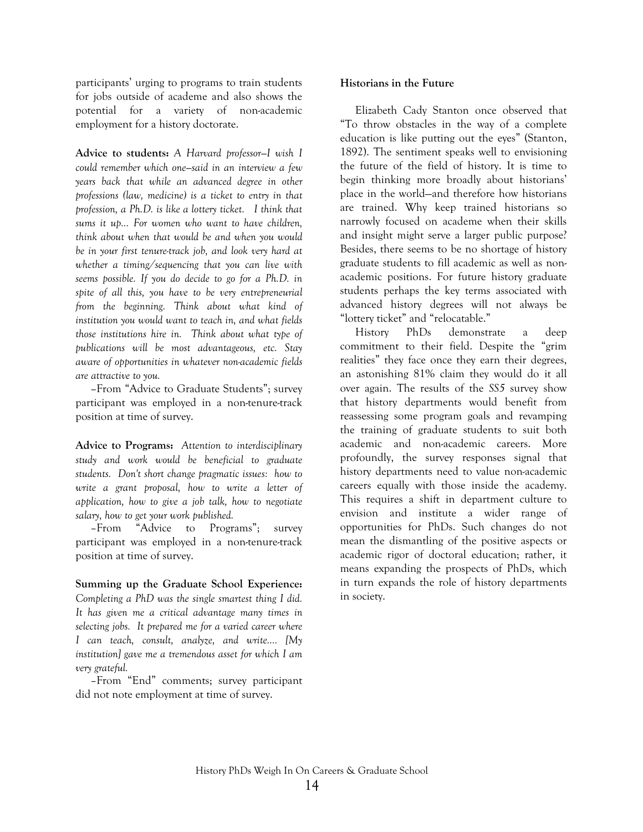participants' urging to programs to train students for jobs outside of academe and also shows the potential for a variety of non-academic employment for a history doctorate.

**Advice to students:** *A Harvard professor—I wish I could remember which one—said in an interview a few years back that while an advanced degree in other professions (law, medicine) is a ticket to entry in that profession, a Ph.D. is like a lottery ticket. I think that sums it up… For women who want to have children, think about when that would be and when you would be in your first tenure-track job, and look very hard at whether a timing/sequencing that you can live with seems possible. If you do decide to go for a Ph.D. in spite of all this, you have to be very entrepreneurial from the beginning. Think about what kind of institution you would want to teach in, and what fields those institutions hire in. Think about what type of publications will be most advantageous, etc. Stay aware of opportunities in whatever non-academic fields are attractive to you.*

*–*From "Advice to Graduate Students"; survey participant was employed in a non-tenure-track position at time of survey.

**Advice to Programs:** *Attention to interdisciplinary study and work would be beneficial to graduate students. Don't short change pragmatic issues: how to write a grant proposal, how to write a letter of application, how to give a job talk, how to negotiate salary, how to get your work published.*

–From "Advice to Programs"; survey participant was employed in a non-tenure-track position at time of survey.

**Summing up the Graduate School Experience:**  *Completing a PhD was the single smartest thing I did. It has given me a critical advantage many times in selecting jobs. It prepared me for a varied career where I can teach, consult, analyze, and write…. [My institution] gave me a tremendous asset for which I am very grateful.*

–From "End" comments; survey participant did not note employment at time of survey.

#### **Historians in the Future**

Elizabeth Cady Stanton once observed that "To throw obstacles in the way of a complete education is like putting out the eyes" (Stanton, 1892). The sentiment speaks well to envisioning the future of the field of history. It is time to begin thinking more broadly about historians' place in the world—and therefore how historians are trained. Why keep trained historians so narrowly focused on academe when their skills and insight might serve a larger public purpose? Besides, there seems to be no shortage of history graduate students to fill academic as well as nonacademic positions. For future history graduate students perhaps the key terms associated with advanced history degrees will not always be "lottery ticket" and "relocatable."

History PhDs demonstrate a deep commitment to their field. Despite the "grim realities" they face once they earn their degrees, an astonishing 81% claim they would do it all over again. The results of the *SS5* survey show that history departments would benefit from reassessing some program goals and revamping the training of graduate students to suit both academic and non-academic careers. More profoundly, the survey responses signal that history departments need to value non-academic careers equally with those inside the academy. This requires a shift in department culture to envision and institute a wider range of opportunities for PhDs. Such changes do not mean the dismantling of the positive aspects or academic rigor of doctoral education; rather, it means expanding the prospects of PhDs, which in turn expands the role of history departments in society.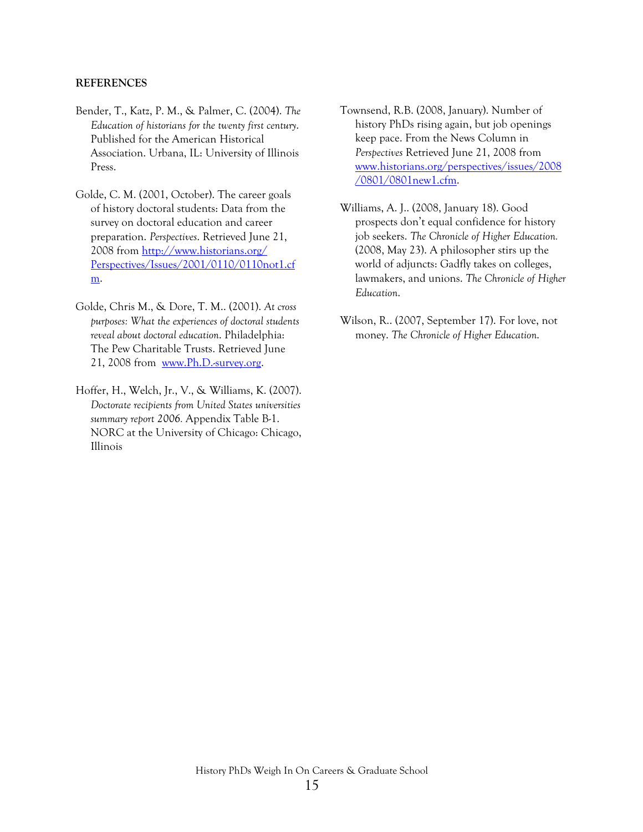#### **REFERENCES**

- Bender, T., Katz, P. M., & Palmer, C. (2004). *The Education of historians for the twenty first century*. Published for the American Historical Association. Urbana, IL: University of Illinois Press.
- Golde, C. M. (2001, October). The career goals of history doctoral students: Data from the survey on doctoral education and career preparation. *Perspectives*. Retrieved June 21, 2008 from [http://www.historians.org/](http://www.historians.org/%20Perspectives/Issues/2001/0110/0110not1.cfm)  [Perspectives/Issues/2001/0110/0110not1.cf](http://www.historians.org/%20Perspectives/Issues/2001/0110/0110not1.cfm) [m](http://www.historians.org/%20Perspectives/Issues/2001/0110/0110not1.cfm).
- Golde, Chris M., & Dore, T. M.. (2001). *At cross purposes: What the experiences of doctoral students reveal about doctoral education*. Philadelphia: The Pew Charitable Trusts. Retrieved June 21, 2008 from [www.Ph.D.-survey.org.](http://www.ph.d.-survey.org/)
- Hoffer, H., Welch, Jr., V., & Williams, K. (2007). *Doctorate recipients from United States universities summary report 2006.* Appendix Table B-1. NORC at the University of Chicago: Chicago, Illinois
- Townsend, R.B. (2008, January). Number of history PhDs rising again, but job openings keep pace. From the News Column in *Perspectives* Retrieved June 21, 2008 from [www.historians.org/perspectives/issues/2008](http://www.historians.org/perspectives/issues/2008/0801/0801new1.cfm) [/0801/0801new1.cfm](http://www.historians.org/perspectives/issues/2008/0801/0801new1.cfm).
- Williams, A. J.. (2008, January 18). Good prospects don't equal confidence for history job seekers. *The Chronicle of Higher Education.* (2008, May 23). A philosopher stirs up the world of adjuncts: Gadfly takes on colleges, lawmakers, and unions. *The Chronicle of Higher Education*.
- Wilson, R.. (2007, September 17). For love, not money. *The Chronicle of Higher Education*.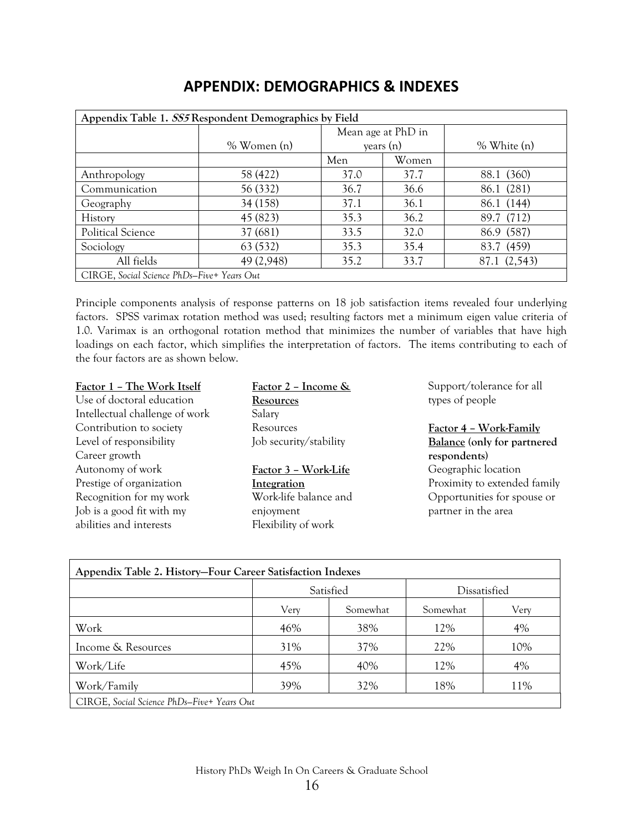| Appendix Table 1. SS5 Respondent Demographics by Field |               |      |                    |               |  |  |  |
|--------------------------------------------------------|---------------|------|--------------------|---------------|--|--|--|
|                                                        |               |      | Mean age at PhD in |               |  |  |  |
|                                                        | $%$ Women (n) |      | years $(n)$        | $%$ White (n) |  |  |  |
|                                                        |               | Men  | Women              |               |  |  |  |
| Anthropology                                           | 58 (422)      | 37.0 | 37.7               | 88.1 (360)    |  |  |  |
| Communication                                          | 56 (332)      | 36.7 | 36.6               | 86.1 (281)    |  |  |  |
| Geography                                              | 34 (158)      | 37.1 | 36.1               | 86.1 (144)    |  |  |  |
| History                                                | 45 (823)      | 35.3 | 36.2               | 89.7 (712)    |  |  |  |
| Political Science                                      | 37 (681)      | 33.5 | 32.0               | 86.9 (587)    |  |  |  |
| Sociology                                              | 63 (532)      | 35.3 | 35.4               | 83.7 (459)    |  |  |  |
| All fields                                             | 49 (2,948)    | 35.2 | 33.7               | 87.1 (2,543)  |  |  |  |
| CIRGE, Social Science PhDs-Five+ Years Out             |               |      |                    |               |  |  |  |

# **APPENDIX: DEMOGRAPHICS & INDEXES**

Principle components analysis of response patterns on 18 job satisfaction items revealed four underlying factors. SPSS varimax rotation method was used; resulting factors met a minimum eigen value criteria of 1.0. Varimax is an orthogonal rotation method that minimizes the number of variables that have high loadings on each factor, which simplifies the interpretation of factors. The items contributing to each of the four factors are as shown below.

#### **Factor 1 – The Work Itself** Use of doctoral education

Intellectual challenge of work Contribution to society Level of responsibility Career growth Autonomy of work Prestige of organization Recognition for my work Job is a good fit with my abilities and interests

**Factor 2 – Income & Resources** Salary Resources Job security/stability

#### **Factor 3 – Work-Life Integration** Work-life balance and enjoyment Flexibility of work

Support/tolerance for all types of people

**Factor 4 – Work-Family Balance (only for partnered respondents)**  Geographic location Proximity to extended family Opportunities for spouse or partner in the area

| Appendix Table 2. History-Four Career Satisfaction Indexes |           |          |              |      |  |  |  |  |
|------------------------------------------------------------|-----------|----------|--------------|------|--|--|--|--|
|                                                            | Satisfied |          | Dissatisfied |      |  |  |  |  |
|                                                            | Very      | Somewhat | Somewhat     | Very |  |  |  |  |
| Work                                                       | 46%       | 38%      | 12%          | 4%   |  |  |  |  |
| Income & Resources                                         | 31%       | 37%      | 22%          | 10%  |  |  |  |  |
| Work/Life                                                  | 45%       | 40%      | 12%          | 4%   |  |  |  |  |
| Work/Family                                                | 39%       | 32%      | 18%          | 11%  |  |  |  |  |
| CIRGE, Social Science PhDs-Five+ Years Out                 |           |          |              |      |  |  |  |  |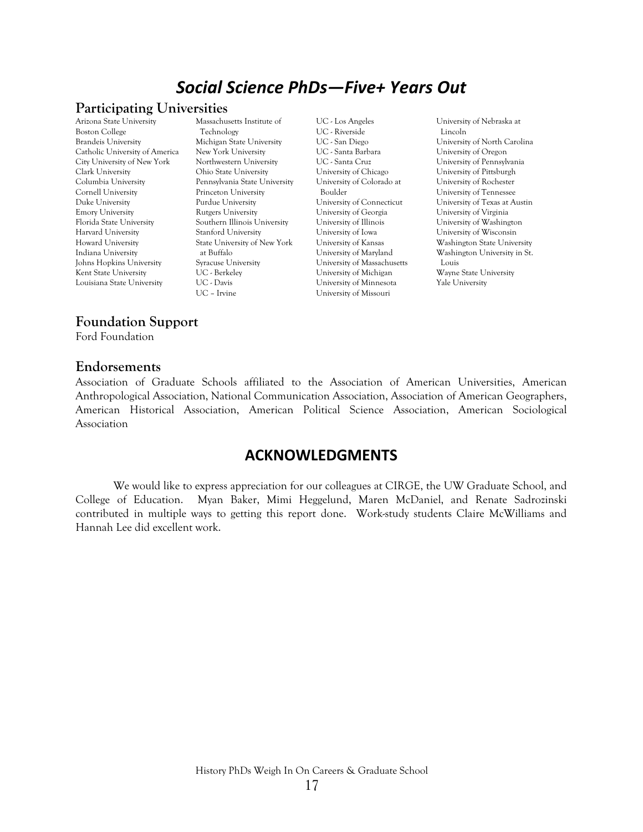# *Social Science PhDs—Five+ Years Out*

#### **Participating Universities**

Arizona State University Boston College Brandeis University Catholic University of America City University of New York Clark University Columbia University Cornell University Duke University Emory University Florida State University Harvard University Howard University Indiana University Johns Hopkins University Kent State University Louisiana State University

Massachusetts Institute of Technology Michigan State University New York University Northwestern University Ohio State University Pennsylvania State University Princeton University Purdue University Rutgers University Southern Illinois University Stanford University State University of New York at Buffalo Syracuse University UC - Berkeley UC - Davis UC – Irvine

UC - Los Angeles UC - Riverside UC - San Diego UC - Santa Barbara UC - Santa Cruz University of Chicago University of Colorado at Boulder University of Connecticut University of Georgia University of Illinois University of Iowa University of Kansas University of Maryland University of Massachusetts University of Michigan University of Minnesota University of Missouri

University of Nebraska at Lincoln University of North Carolina University of Oregon University of Pennsylvania University of Pittsburgh University of Rochester University of Tennessee University of Texas at Austin University of Virginia University of Washington University of Wisconsin Washington State University Washington University in St. Louis Wayne State University Yale University

#### **Foundation Support**

Ford Foundation

#### **Endorsements**

Association of Graduate Schools affiliated to the Association of American Universities, American Anthropological Association, National Communication Association, Association of American Geographers, American Historical Association, American Political Science Association, American Sociological Association

# **ACKNOWLEDGMENTS**

We would like to express appreciation for our colleagues at CIRGE, the UW Graduate School, and College of Education. Myan Baker, Mimi Heggelund, Maren McDaniel, and Renate Sadrozinski contributed in multiple ways to getting this report done. Work-study students Claire McWilliams and Hannah Lee did excellent work.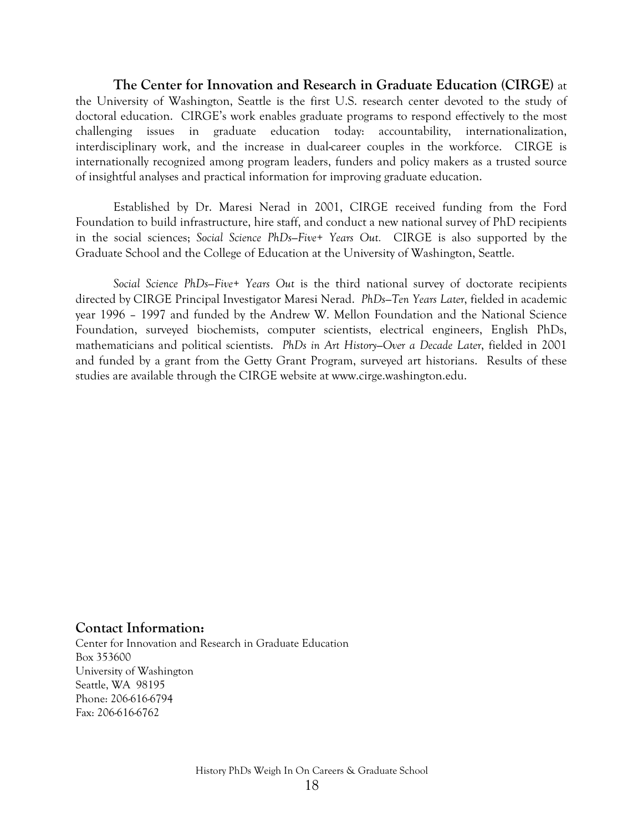**The Center for Innovation and Research in Graduate Education (CIRGE)** at the University of Washington, Seattle is the first U.S. research center devoted to the study of doctoral education. CIRGE's work enables graduate programs to respond effectively to the most challenging issues in graduate education today: accountability, internationalization, interdisciplinary work, and the increase in dual-career couples in the workforce. CIRGE is internationally recognized among program leaders, funders and policy makers as a trusted source of insightful analyses and practical information for improving graduate education.

Established by Dr. Maresi Nerad in 2001, CIRGE received funding from the Ford Foundation to build infrastructure, hire staff, and conduct a new national survey of PhD recipients in the social sciences; *Social Science PhDs—Five+ Years Out.* CIRGE is also supported by the Graduate School and the College of Education at the University of Washington, Seattle.

 *Social Science PhDs—Five+ Years Out* is the third national survey of doctorate recipients directed by CIRGE Principal Investigator Maresi Nerad. *PhDs—Ten Years Later*, fielded in academic year 1996 – 1997 and funded by the Andrew W. Mellon Foundation and the National Science Foundation, surveyed biochemists, computer scientists, electrical engineers, English PhDs, mathematicians and political scientists. *PhDs in Art History—Over a Decade Later*, fielded in 2001 and funded by a grant from the Getty Grant Program, surveyed art historians. Results of these studies are available through the CIRGE website at www.cirge.washington.edu.

#### **Contact Information:**

Center for Innovation and Research in Graduate Education Box 353600 University of Washington Seattle, WA 98195 Phone: 206-616-6794 Fax: 206-616-6762